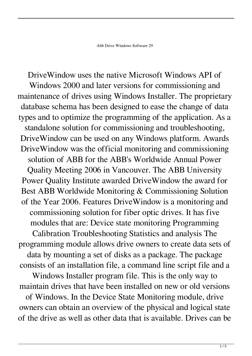Abb Drive Windows Software 29

DriveWindow uses the native Microsoft Windows API of Windows 2000 and later versions for commissioning and maintenance of drives using Windows Installer. The proprietary database schema has been designed to ease the change of data types and to optimize the programming of the application. As a standalone solution for commissioning and troubleshooting, DriveWindow can be used on any Windows platform. Awards DriveWindow was the official monitoring and commissioning solution of ABB for the ABB's Worldwide Annual Power Quality Meeting 2006 in Vancouver. The ABB University Power Quality Institute awarded DriveWindow the award for Best ABB Worldwide Monitoring & Commissioning Solution of the Year 2006. Features DriveWindow is a monitoring and commissioning solution for fiber optic drives. It has five modules that are: Device state monitoring Programming Calibration Troubleshooting Statistics and analysis The programming module allows drive owners to create data sets of data by mounting a set of disks as a package. The package consists of an installation file, a command line script file and a Windows Installer program file. This is the only way to maintain drives that have been installed on new or old versions of Windows. In the Device State Monitoring module, drive owners can obtain an overview of the physical and logical state of the drive as well as other data that is available. Drives can be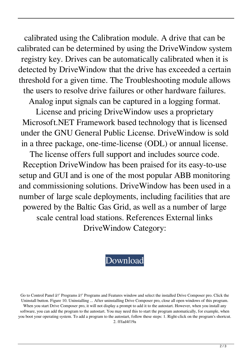calibrated using the Calibration module. A drive that can be calibrated can be determined by using the DriveWindow system registry key. Drives can be automatically calibrated when it is detected by DriveWindow that the drive has exceeded a certain threshold for a given time. The Troubleshooting module allows the users to resolve drive failures or other hardware failures. Analog input signals can be captured in a logging format.

License and pricing DriveWindow uses a proprietary Microsoft.NET Framework based technology that is licensed under the GNU General Public License. DriveWindow is sold in a three package, one-time-license (ODL) or annual license.

The license offers full support and includes source code. Reception DriveWindow has been praised for its easy-to-use setup and GUI and is one of the most popular ABB monitoring and commissioning solutions. DriveWindow has been used in a number of large scale deployments, including facilities that are powered by the Baltic Gas Grid, as well as a number of large scale central load stations. References External links DriveWindow Category:

## [Download](http://evacdir.com/ZG93bmxvYWR8VTdZTVhKeVpYeDhNVFkxTWpRMk16QTFNSHg4TWpVM05IeDhLRTBwSUhKbFlXUXRZbXh2WnlCYlJtRnpkQ0JIUlU1ZA/rastus/angioneurotic/arising/YWJiIGRyaXZlIHdpbmRvd3Mgc29mdHdhcmUgMjkYWJ.minivans?catalyzed=shakier&unarousable..)

Go to Control Panel â†' Programs â†' Programs and Features window and select the installed Drive Composer pro. Click the Uninstall button. Figure 10. Uninstalling ... After uninstalling Drive Composer pro, close all open windows of this program. When you start Drive Composer pro, it will not display a prompt to add it to the autostart. However, when you install any software, you can add the program to the autostart. You may need this to start the program automatically, for example, when you boot your operating system. To add a program to the autostart, follow these steps: 1. Right-click on the program's shortcut. 2. fffad4f19a